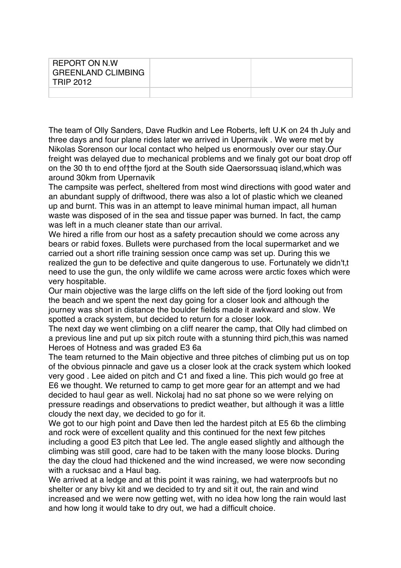| REPORT ON N.W<br><b>GREENLAND CLIMBING</b><br><b>TRIP 2012</b> |  |
|----------------------------------------------------------------|--|
|                                                                |  |

The team of Olly Sanders, Dave Rudkin and Lee Roberts, left U.K on 24 th July and three days and four plane rides later we arrived in Upernavik . We were met by Nikolas Sorenson our local contact who helped us enormously over our stay.Our freight was delayed due to mechanical problems and we finaly got our boat drop off on the 30 th to end of†the fjord at the South side Qaersorssuaq island,which was around 30km from Upernavik

The campsite was perfect, sheltered from most wind directions with good water and an abundant supply of driftwood, there was also a lot of plastic which we cleaned up and burnt. This was in an attempt to leave minimal human impact, all human waste was disposed of in the sea and tissue paper was burned. In fact, the camp was left in a much cleaner state than our arrival.

We hired a rifle from our host as a safety precaution should we come across any bears or rabid foxes. Bullets were purchased from the local supermarket and we carried out a short rifle training session once camp was set up. During this we realized the gun to be defective and quite dangerous to use. Fortunately we didn't.t need to use the gun, the only wildlife we came across were arctic foxes which were very hospitable.

Our main objective was the large cliffs on the left side of the fjord looking out from the beach and we spent the next day going for a closer look and although the journey was short in distance the boulder fields made it awkward and slow. We spotted a crack system, but decided to return for a closer look.

The next day we went climbing on a cliff nearer the camp, that Olly had climbed on a previous line and put up six pitch route with a stunning third pich,this was named Heroes of Hotness and was graded E3 6a

The team returned to the Main objective and three pitches of climbing put us on top of the obvious pinnacle and gave us a closer look at the crack system which looked very good . Lee aided on pitch and C1 and fixed a line. This pich would go free at E6 we thought. We returned to camp to get more gear for an attempt and we had decided to haul gear as well. Nickolaj had no sat phone so we were relying on pressure readings and observations to predict weather, but although it was a little cloudy the next day, we decided to go for it.

We got to our high point and Dave then led the hardest pitch at E5 6b the climbing and rock were of excellent quality and this continued for the next few pitches including a good E3 pitch that Lee led. The angle eased slightly and although the climbing was still good, care had to be taken with the many loose blocks. During the day the cloud had thickened and the wind increased, we were now seconding with a rucksac and a Haul bag.

We arrived at a ledge and at this point it was raining, we had waterproofs but no shelter or any bivy kit and we decided to try and sit it out, the rain and wind increased and we were now getting wet, with no idea how long the rain would last and how long it would take to dry out, we had a difficult choice.